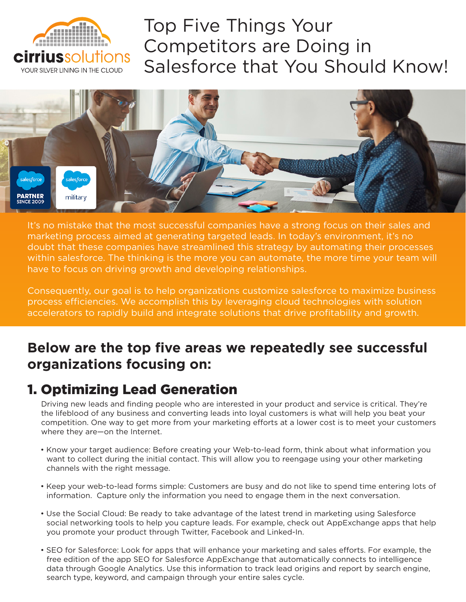

# Top Five Things Your Competitors are Doing in Salesforce that You Should Know!



It's no mistake that the most successful companies have a strong focus on their sales and marketing process aimed at generating targeted leads. In today's environment, it's no doubt that these companies have streamlined this strategy by automating their processes within salesforce. The thinking is the more you can automate, the more time your team will have to focus on driving growth and developing relationships.

Consequently, our goal is to help organizations customize salesforce to maximize business process efficiencies. We accomplish this by leveraging cloud technologies with solution accelerators to rapidly build and integrate solutions that drive profitability and growth.

# **Below are the top five areas we repeatedly see successful organizations focusing on:**

### 1. Optimizing Lead Generation

Driving new leads and finding people who are interested in your product and service is critical. They're the lifeblood of any business and converting leads into loyal customers is what will help you beat your competition. One way to get more from your marketing efforts at a lower cost is to meet your customers where they are—on the Internet.

- Know your target audience: Before creating your Web-to-lead form, think about what information you want to collect during the initial contact. This will allow you to reengage using your other marketing channels with the right message.
- Keep your web-to-lead forms simple: Customers are busy and do not like to spend time entering lots of information. Capture only the information you need to engage them in the next conversation.
- Use the Social Cloud: Be ready to take advantage of the latest trend in marketing using Salesforce social networking tools to help you capture leads. For example, check out AppExchange apps that help you promote your product through Twitter, Facebook and Linked-In.
- SEO for Salesforce: Look for apps that will enhance your marketing and sales efforts. For example, the free edition of the app SEO for Salesforce AppExchange that automatically connects to intelligence data through Google Analytics. Use this information to track lead origins and report by search engine, search type, keyword, and campaign through your entire sales cycle.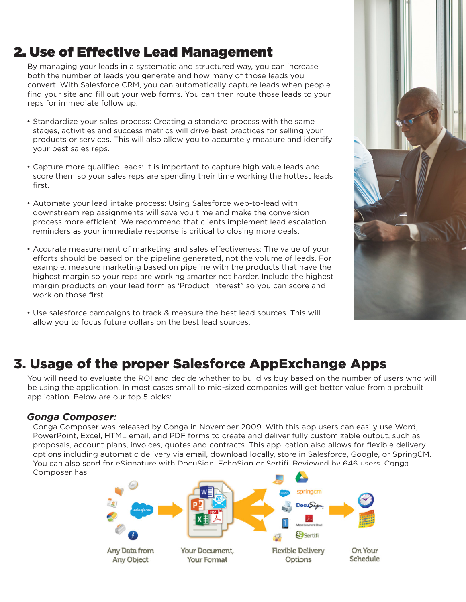# 2. Use of Effective Lead Management

By managing your leads in a systematic and structured way, you can increase both the number of leads you generate and how many of those leads you convert. With Salesforce CRM, you can automatically capture leads when people find your site and fill out your web forms. You can then route those leads to your reps for immediate follow up.

- Standardize your sales process: Creating a standard process with the same stages, activities and success metrics will drive best practices for selling your products or services. This will also allow you to accurately measure and identify your best sales reps.
- Capture more qualified leads: It is important to capture high value leads and score them so your sales reps are spending their time working the hottest leads first.
- Automate your lead intake process: Using Salesforce web-to-lead with downstream rep assignments will save you time and make the conversion process more efficient. We recommend that clients implement lead escalation reminders as your immediate response is critical to closing more deals.
- Accurate measurement of marketing and sales effectiveness: The value of your efforts should be based on the pipeline generated, not the volume of leads. For example, measure marketing based on pipeline with the products that have the highest margin so your reps are working smarter not harder. Include the highest margin products on your lead form as 'Product Interest" so you can score and work on those first.
- Use salesforce campaigns to track & measure the best lead sources. This will allow you to focus future dollars on the best lead sources.



### 3. Usage of the proper Salesforce AppExchange Apps

You will need to evaluate the ROI and decide whether to build vs buy based on the number of users who will be using the application. In most cases small to mid-sized companies will get better value from a prebuilt application. Below are our top 5 picks:

#### *Gonga Composer:*

Conga Composer was released by Conga in November 2009. With this app users can easily use Word, PowerPoint, Excel, HTML email, and PDF forms to create and deliver fully customizable output, such as proposals, account plans, invoices, quotes and contracts. This application also allows for flexible delivery options including automatic delivery via email, download locally, store in Salesforce, Google, or SpringCM. You can also send for eSignature with DocuSign, EchoSign or Sertifi. Reviewed by 646 users, Conga Composer has

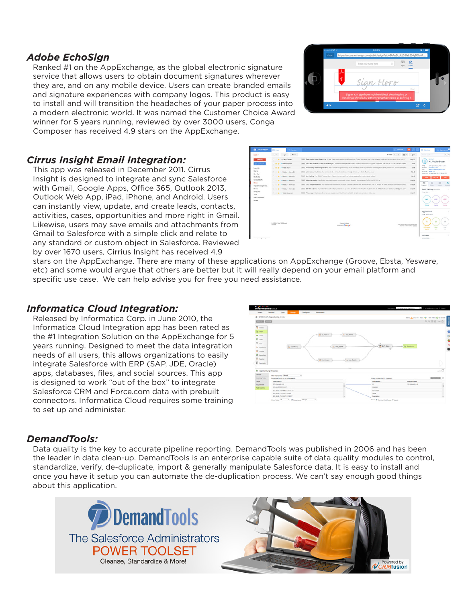#### *Adobe EchoSign*

Ranked #1 on the AppExchange, as the global electronic signature service that allows users to obtain document signatures wherever they are, and on any mobile device. Users can create branded emails and signature experiences with company logos. This product is easy to install and will transition the headaches of your paper process into a modern electronic world. It was named the Customer Choice Award winner for 5 years running, reviewed by over 3000 users, Conga Composer has received 4.9 stars on the AppExchange.



#### *Cirrus Insight Email Integration:*

This app was released in December 2011. Cirrus Insight is designed to integrate and sync Salesforce with Gmail, Google Apps, Office 365, Outlook 2013, Outlook Web App, iPad, iPhone, and Android. Users can instantly view, update, and create leads, contacts, activities, cases, opportunities and more right in Gmail. Likewise, users may save emails and attachments from Gmail to Salesforce with a simple click and relate to any standard or custom object in Salesforce. Reviewed by over 1670 users, Cirrius Insight has received 4.9



stars on the AppExchange. There are many of these applications on AppExchange (Groove, Ebsta, Yesware, etc) and some would argue that others are better but it will really depend on your email platform and specific use case. We can help advise you for free you need assistance.

#### *Informatica Cloud Integration:*

Released by Informatica Corp. in June 2010, the Informatica Cloud Integration app has been rated as the #1 Integration Solution on the AppExchange for 5 years running. Designed to meet the data integration needs of all users, this allows organizations to easily integrate Salesforce with ERP (SAP, JDE, Oracle) apps, databases, files, and social sources. This app is designed to work "out of the box" to integrate Salesforce CRM and Force.com data with prebuilt connectors. Informatica Cloud requires some training to set up and administer.



#### *DemandTools:*

Data quality is the key to accurate pipeline reporting. DemandTools was published in 2006 and has been the leader in data clean-up. DemandTools is an enterprise capable suite of data quality modules to control, standardize, verify, de-duplicate, import & generally manipulate Salesforce data. It is easy to install and once you have it setup you can automate the de-duplication process. We can't say enough good things about this application.